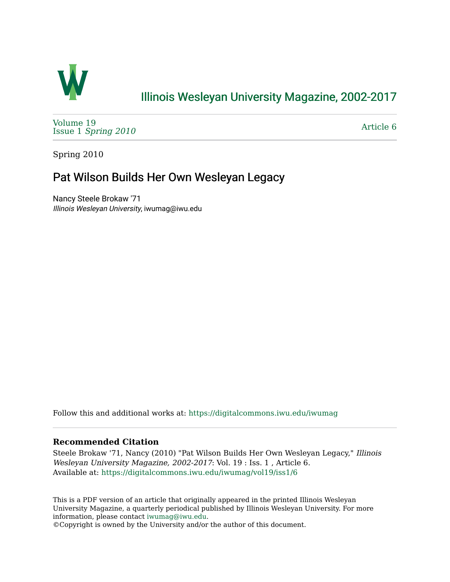

## [Illinois Wesleyan University Magazine, 2002-2017](https://digitalcommons.iwu.edu/iwumag)

[Volume 19](https://digitalcommons.iwu.edu/iwumag/vol19)  Issue 1 [Spring 2010](https://digitalcommons.iwu.edu/iwumag/vol19/iss1)

[Article 6](https://digitalcommons.iwu.edu/iwumag/vol19/iss1/6) 

Spring 2010

### Pat Wilson Builds Her Own Wesleyan Legacy

Nancy Steele Brokaw '71 Illinois Wesleyan University, iwumag@iwu.edu

Follow this and additional works at: [https://digitalcommons.iwu.edu/iwumag](https://digitalcommons.iwu.edu/iwumag?utm_source=digitalcommons.iwu.edu%2Fiwumag%2Fvol19%2Fiss1%2F6&utm_medium=PDF&utm_campaign=PDFCoverPages) 

#### **Recommended Citation**

Steele Brokaw '71, Nancy (2010) "Pat Wilson Builds Her Own Wesleyan Legacy," Illinois Wesleyan University Magazine, 2002-2017: Vol. 19 : Iss. 1 , Article 6. Available at: [https://digitalcommons.iwu.edu/iwumag/vol19/iss1/6](https://digitalcommons.iwu.edu/iwumag/vol19/iss1/6?utm_source=digitalcommons.iwu.edu%2Fiwumag%2Fvol19%2Fiss1%2F6&utm_medium=PDF&utm_campaign=PDFCoverPages)

This is a PDF version of an article that originally appeared in the printed Illinois Wesleyan University Magazine, a quarterly periodical published by Illinois Wesleyan University. For more information, please contact [iwumag@iwu.edu](mailto:iwumag@iwu.edu).

©Copyright is owned by the University and/or the author of this document.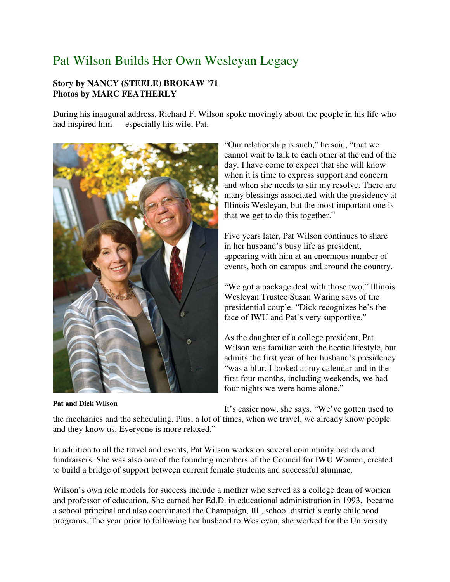# Pat Wilson Builds Her Own Wesleyan Legacy

#### **Story by NANCY (STEELE) BROKAW '71 Photos by MARC FEATHERLY**

During his inaugural address, Richard F. Wilson spoke movingly about the people in his life who had inspired him — especially his wife, Pat.



**Pat and Dick Wilson**

"Our relationship is such," he said, "that we cannot wait to talk to each other at the end of the day. I have come to expect that she will know when it is time to express support and concern and when she needs to stir my resolve. There are many blessings associated with the presidency at Illinois Wesleyan, but the most important one is that we get to do this together."

Five years later, Pat Wilson continues to share in her husband's busy life as president, appearing with him at an enormous number of events, both on campus and around the country.

"We got a package deal with those two," Illinois Wesleyan Trustee Susan Waring says of the presidential couple. "Dick recognizes he's the face of IWU and Pat's very supportive."

As the daughter of a college president, Pat Wilson was familiar with the hectic lifestyle, but admits the first year of her husband's presidency "was a blur. I looked at my calendar and in the first four months, including weekends, we had four nights we were home alone."

It's easier now, she says. "We've gotten used to

the mechanics and the scheduling. Plus, a lot of times, when we travel, we already know people and they know us. Everyone is more relaxed."

In addition to all the travel and events, Pat Wilson works on several community boards and fundraisers. She was also one of the founding members of the Council for IWU Women, created to build a bridge of support between current female students and successful alumnae.

Wilson's own role models for success include a mother who served as a college dean of women and professor of education. She earned her Ed.D. in educational administration in 1993, became a school principal and also coordinated the Champaign, Ill., school district's early childhood programs. The year prior to following her husband to Wesleyan, she worked for the University